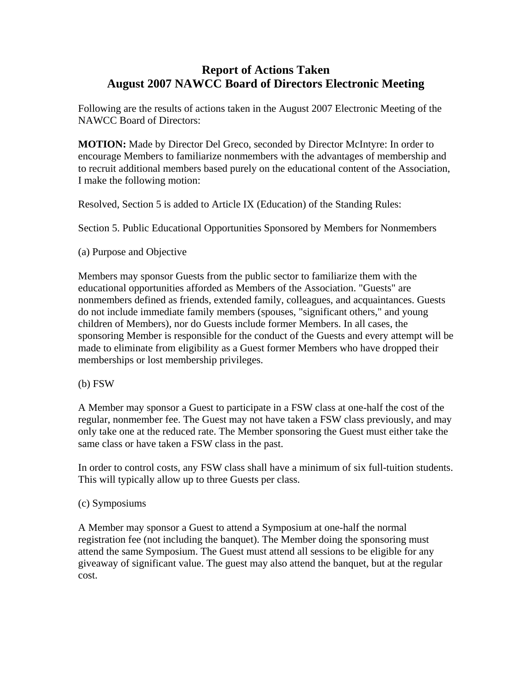## **Report of Actions Taken August 2007 NAWCC Board of Directors Electronic Meeting**

Following are the results of actions taken in the August 2007 Electronic Meeting of the NAWCC Board of Directors:

**MOTION:** Made by Director Del Greco, seconded by Director McIntyre: In order to encourage Members to familiarize nonmembers with the advantages of membership and to recruit additional members based purely on the educational content of the Association, I make the following motion:

Resolved, Section 5 is added to Article IX (Education) of the Standing Rules:

Section 5. Public Educational Opportunities Sponsored by Members for Nonmembers

(a) Purpose and Objective

Members may sponsor Guests from the public sector to familiarize them with the educational opportunities afforded as Members of the Association. "Guests" are nonmembers defined as friends, extended family, colleagues, and acquaintances. Guests do not include immediate family members (spouses, "significant others," and young children of Members), nor do Guests include former Members. In all cases, the sponsoring Member is responsible for the conduct of the Guests and every attempt will be made to eliminate from eligibility as a Guest former Members who have dropped their memberships or lost membership privileges.

(b) FSW

A Member may sponsor a Guest to participate in a FSW class at one-half the cost of the regular, nonmember fee. The Guest may not have taken a FSW class previously, and may only take one at the reduced rate. The Member sponsoring the Guest must either take the same class or have taken a FSW class in the past.

In order to control costs, any FSW class shall have a minimum of six full-tuition students. This will typically allow up to three Guests per class.

## (c) Symposiums

A Member may sponsor a Guest to attend a Symposium at one-half the normal registration fee (not including the banquet). The Member doing the sponsoring must attend the same Symposium. The Guest must attend all sessions to be eligible for any giveaway of significant value. The guest may also attend the banquet, but at the regular cost.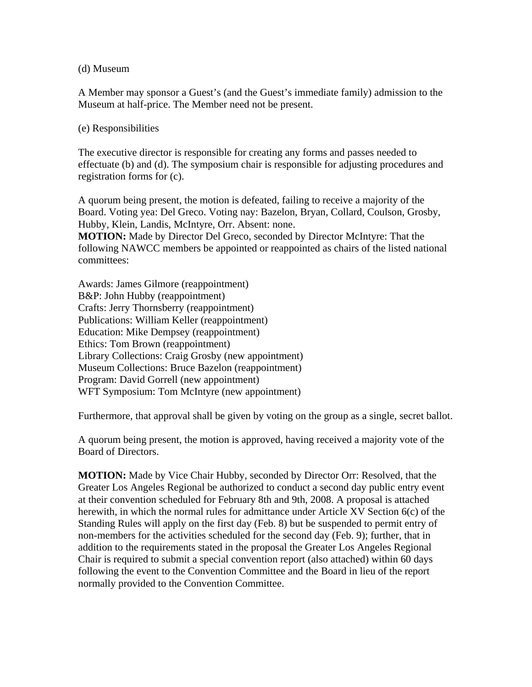(d) Museum

A Member may sponsor a Guest's (and the Guest's immediate family) admission to the Museum at half-price. The Member need not be present.

(e) Responsibilities

The executive director is responsible for creating any forms and passes needed to effectuate (b) and (d). The symposium chair is responsible for adjusting procedures and registration forms for (c).

A quorum being present, the motion is defeated, failing to receive a majority of the Board. Voting yea: Del Greco. Voting nay: Bazelon, Bryan, Collard, Coulson, Grosby, Hubby, Klein, Landis, McIntyre, Orr. Absent: none.

**MOTION:** Made by Director Del Greco, seconded by Director McIntyre: That the following NAWCC members be appointed or reappointed as chairs of the listed national committees:

Awards: James Gilmore (reappointment) B&P: John Hubby (reappointment) Crafts: Jerry Thornsberry (reappointment) Publications: William Keller (reappointment) Education: Mike Dempsey (reappointment) Ethics: Tom Brown (reappointment) Library Collections: Craig Grosby (new appointment) Museum Collections: Bruce Bazelon (reappointment) Program: David Gorrell (new appointment) WFT Symposium: Tom McIntyre (new appointment)

Furthermore, that approval shall be given by voting on the group as a single, secret ballot.

A quorum being present, the motion is approved, having received a majority vote of the Board of Directors.

**MOTION:** Made by Vice Chair Hubby, seconded by Director Orr: Resolved, that the Greater Los Angeles Regional be authorized to conduct a second day public entry event at their convention scheduled for February 8th and 9th, 2008. A proposal is attached herewith, in which the normal rules for admittance under Article XV Section 6(c) of the Standing Rules will apply on the first day (Feb. 8) but be suspended to permit entry of non-members for the activities scheduled for the second day (Feb. 9); further, that in addition to the requirements stated in the proposal the Greater Los Angeles Regional Chair is required to submit a special convention report (also attached) within 60 days following the event to the Convention Committee and the Board in lieu of the report normally provided to the Convention Committee.